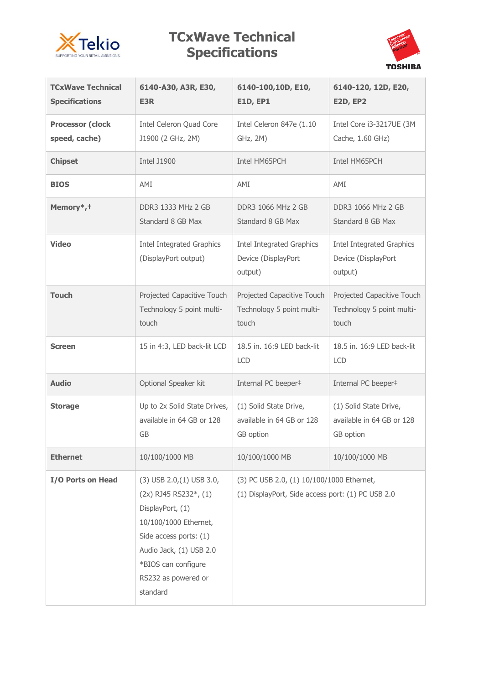

## **TCxWave Technical Specifications**



| <b>TCxWave Technical</b><br><b>Specifications</b> | 6140-A30, A3R, E30,<br>E3R                                                                                                                                                                                             | 6140-100,10D, E10,<br><b>E1D, EP1</b>                                                          | 6140-120, 12D, E20,<br><b>E2D, EP2</b>                             |  |
|---------------------------------------------------|------------------------------------------------------------------------------------------------------------------------------------------------------------------------------------------------------------------------|------------------------------------------------------------------------------------------------|--------------------------------------------------------------------|--|
| <b>Processor (clock</b><br>speed, cache)          | Intel Celeron Quad Core<br>J1900 (2 GHz, 2M)                                                                                                                                                                           | Intel Celeron 847e (1.10<br>GHz, 2M)                                                           | Intel Core i3-3217UE (3M<br>Cache, 1.60 GHz)                       |  |
| <b>Chipset</b>                                    | <b>Intel J1900</b>                                                                                                                                                                                                     | Intel HM65PCH                                                                                  | Intel HM65PCH                                                      |  |
| <b>BIOS</b>                                       | AMI                                                                                                                                                                                                                    | AMI                                                                                            | AMI                                                                |  |
| Memory*, +                                        | DDR3 1333 MHz 2 GB<br>Standard 8 GB Max                                                                                                                                                                                | <b>DDR3 1066 MHz 2 GB</b><br>Standard 8 GB Max                                                 | <b>DDR3 1066 MHz 2 GB</b><br>Standard 8 GB Max                     |  |
| <b>Video</b>                                      | <b>Intel Integrated Graphics</b><br>(DisplayPort output)                                                                                                                                                               | <b>Intel Integrated Graphics</b><br>Device (DisplayPort<br>output)                             | <b>Intel Integrated Graphics</b><br>Device (DisplayPort<br>output) |  |
| <b>Touch</b>                                      | Projected Capacitive Touch<br>Technology 5 point multi-<br>touch                                                                                                                                                       | Projected Capacitive Touch<br>Technology 5 point multi-<br>touch                               | Projected Capacitive Touch<br>Technology 5 point multi-<br>touch   |  |
| <b>Screen</b>                                     | 15 in 4:3, LED back-lit LCD                                                                                                                                                                                            | 18.5 in. 16:9 LED back-lit<br><b>LCD</b>                                                       | 18.5 in. 16:9 LED back-lit<br><b>LCD</b>                           |  |
| <b>Audio</b>                                      | Optional Speaker kit                                                                                                                                                                                                   | Internal PC beeper#                                                                            | Internal PC beeper#                                                |  |
| <b>Storage</b>                                    | Up to 2x Solid State Drives,<br>available in 64 GB or 128<br>GB                                                                                                                                                        | (1) Solid State Drive,<br>available in 64 GB or 128<br>GB option                               | (1) Solid State Drive,<br>available in 64 GB or 128<br>GB option   |  |
| <b>Ethernet</b>                                   | 10/100/1000 MB                                                                                                                                                                                                         | 10/100/1000 MB                                                                                 | 10/100/1000 MB                                                     |  |
| I/O Ports on Head                                 | $(3)$ USB 2.0, $(1)$ USB 3.0,<br>$(2x)$ RJ45 RS232*, $(1)$<br>DisplayPort, (1)<br>10/100/1000 Ethernet,<br>Side access ports: (1)<br>Audio Jack, (1) USB 2.0<br>*BIOS can configure<br>RS232 as powered or<br>standard | (3) PC USB 2.0, (1) 10/100/1000 Ethernet,<br>(1) DisplayPort, Side access port: (1) PC USB 2.0 |                                                                    |  |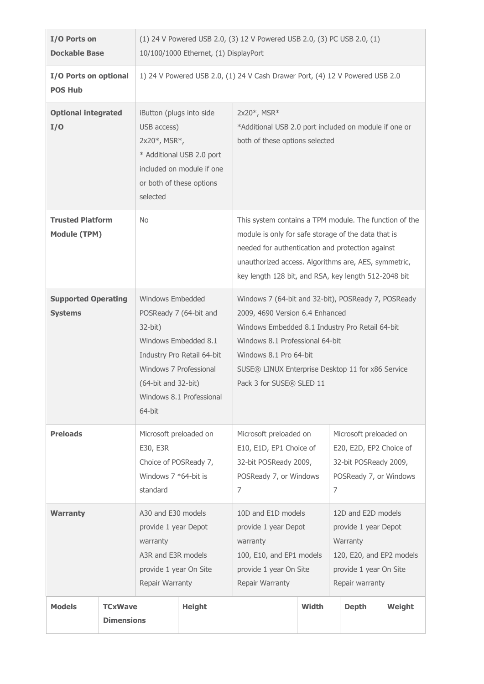| I/O Ports on<br><b>Dockable Base</b>                                 |                                     | (1) 24 V Powered USB 2.0, (3) 12 V Powered USB 2.0, (3) PC USB 2.0, (1)<br>10/100/1000 Ethernet, (1) DisplayPort |                                                                                                                                                           |                                                                                                                                                                                                                                                                                         |                                                                                                                                 |                                                                                                           |        |
|----------------------------------------------------------------------|-------------------------------------|------------------------------------------------------------------------------------------------------------------|-----------------------------------------------------------------------------------------------------------------------------------------------------------|-----------------------------------------------------------------------------------------------------------------------------------------------------------------------------------------------------------------------------------------------------------------------------------------|---------------------------------------------------------------------------------------------------------------------------------|-----------------------------------------------------------------------------------------------------------|--------|
| I/O Ports on optional<br><b>POS Hub</b>                              |                                     | 1) 24 V Powered USB 2.0, (1) 24 V Cash Drawer Port, (4) 12 V Powered USB 2.0                                     |                                                                                                                                                           |                                                                                                                                                                                                                                                                                         |                                                                                                                                 |                                                                                                           |        |
| <b>Optional integrated</b><br>I/O                                    |                                     | iButton (plugs into side<br>USB access)<br>$2x20^*$ , MSR $*$ ,<br>selected                                      | * Additional USB 2.0 port<br>included on module if one<br>or both of these options                                                                        | 2x20*, MSR*<br>*Additional USB 2.0 port included on module if one or<br>both of these options selected                                                                                                                                                                                  |                                                                                                                                 |                                                                                                           |        |
| <b>Trusted Platform</b><br><b>Module (TPM)</b>                       |                                     | <b>No</b>                                                                                                        |                                                                                                                                                           | This system contains a TPM module. The function of the<br>module is only for safe storage of the data that is<br>needed for authentication and protection against<br>unauthorized access. Algorithms are, AES, symmetric,<br>key length 128 bit, and RSA, key length 512-2048 bit       |                                                                                                                                 |                                                                                                           |        |
| <b>Supported Operating</b><br><b>Systems</b><br>$32$ -bit)<br>64-bit |                                     | Windows Embedded<br>(64-bit and 32-bit)                                                                          | POSReady 7 (64-bit and<br>Windows Embedded 8.1<br>Industry Pro Retail 64-bit<br>Windows 7 Professional<br>Windows 8.1 Professional                        | Windows 7 (64-bit and 32-bit), POSReady 7, POSReady<br>2009, 4690 Version 6.4 Enhanced<br>Windows Embedded 8.1 Industry Pro Retail 64-bit<br>Windows 8.1 Professional 64-bit<br>Windows 8.1 Pro 64-bit<br>SUSE® LINUX Enterprise Desktop 11 for x86 Service<br>Pack 3 for SUSE® SLED 11 |                                                                                                                                 |                                                                                                           |        |
| <b>Preloads</b>                                                      |                                     | Microsoft preloaded on<br>E30, E3R<br>Choice of POSReady 7,<br>Windows $7 * 64$ -bit is<br>standard              |                                                                                                                                                           | Microsoft preloaded on<br>E10, E1D, EP1 Choice of<br>32-bit POSReady 2009,<br>POSReady 7, or Windows<br>7                                                                                                                                                                               |                                                                                                                                 | Microsoft preloaded on<br>E20, E2D, EP2 Choice of<br>32-bit POSReady 2009,<br>POSReady 7, or Windows<br>7 |        |
| <b>Warranty</b>                                                      |                                     | A30 and E30 models<br>provide 1 year Depot<br>warranty<br>A3R and E3R models<br>Repair Warranty                  | 10D and E1D models<br>provide 1 year Depot<br>warranty<br>100, E10, and EP1 models<br>provide 1 year On Site<br>provide 1 year On Site<br>Repair Warranty |                                                                                                                                                                                                                                                                                         | 12D and E2D models<br>provide 1 year Depot<br>Warranty<br>120, E20, and EP2 models<br>provide 1 year On Site<br>Repair warranty |                                                                                                           |        |
| <b>Models</b>                                                        | <b>TCxWave</b><br><b>Dimensions</b> |                                                                                                                  | <b>Height</b>                                                                                                                                             |                                                                                                                                                                                                                                                                                         | Width                                                                                                                           | <b>Depth</b>                                                                                              | Weight |